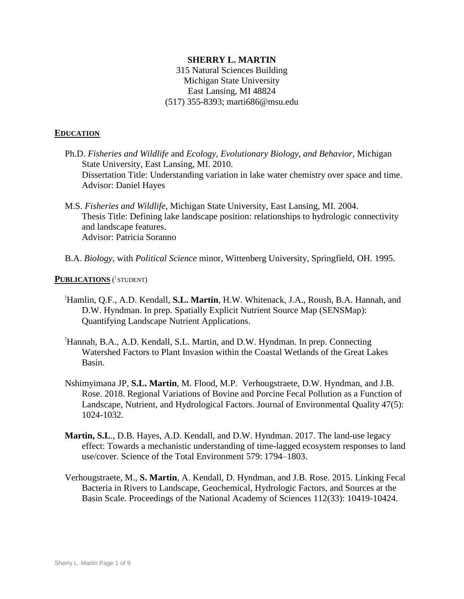## **SHERRY L. MARTIN**

315 Natural Sciences Building Michigan State University East Lansing, MI 48824 (517) 355-8393; marti686@msu.edu

#### **EDUCATION**

- Ph.D. *Fisheries and Wildlife* and *Ecology, Evolutionary Biology, and Behavior*, Michigan State University, East Lansing, MI. 2010. Dissertation Title: Understanding variation in lake water chemistry over space and time. Advisor: Daniel Hayes
- M.S. *Fisheries and Wildlife*, Michigan State University, East Lansing, MI. 2004. Thesis Title: Defining lake landscape position: relationships to hydrologic connectivity and landscape features. Advisor: Patricia Soranno
- B.A. *Biology*, with *Political Science* minor, Wittenberg University, Springfield, OH. 1995.

#### **PUBLICATIONS** ( ! STUDENT)

- !Hamlin, Q.F., A.D. Kendall, **S.L. Martin**, H.W. Whitenack, J.A., Roush, B.A. Hannah, and D.W. Hyndman. In prep. Spatially Explicit Nutrient Source Map (SENSMap): Quantifying Landscape Nutrient Applications.
- !Hannah, B.A., A.D. Kendall, S.L. Martin, and D.W. Hyndman. In prep. Connecting Watershed Factors to Plant Invasion within the Coastal Wetlands of the Great Lakes Basin.
- Nshimyimana JP, **S.L. Martin**, M. Flood, M.P. Verhougstraete, D.W. Hyndman, and J.B. Rose. 2018. Regional Variations of Bovine and Porcine Fecal Pollution as a Function of Landscape, Nutrient, and Hydrological Factors. Journal of Environmental Quality 47(5): 1024-1032.
- **Martin, S.L**., D.B. Hayes, A.D. Kendall, and D.W. Hyndman. 2017. The land-use legacy effect: Towards a mechanistic understanding of time-lagged ecosystem responses to land use/cover. Science of the Total Environment 579: 1794–1803.
- Verhougstraete, M., **S. Martin**, A. Kendall, D. Hyndman, and J.B. Rose. 2015. Linking Fecal Bacteria in Rivers to Landscape, Geochemical, Hydrologic Factors, and Sources at the Basin Scale. Proceedings of the National Academy of Sciences 112(33): 10419-10424.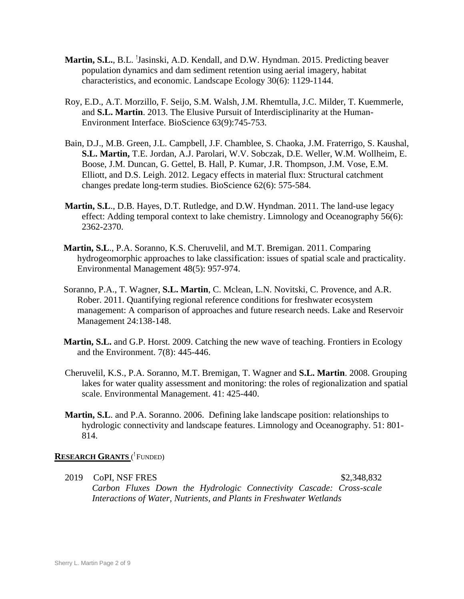- Martin, S.L., B.L. <sup>!</sup>Jasinski, A.D. Kendall, and D.W. Hyndman. 2015. Predicting beaver population dynamics and dam sediment retention using aerial imagery, habitat characteristics, and economic. Landscape Ecology 30(6): 1129-1144.
- Roy, E.D., A.T. Morzillo, F. Seijo, S.M. Walsh, J.M. Rhemtulla, J.C. Milder, T. Kuemmerle, and **S.L. Martin**. 2013. The Elusive Pursuit of Interdisciplinarity at the Human-Environment Interface. BioScience 63(9):745-753.
- Bain, D.J., M.B. Green, J.L. Campbell, J.F. Chamblee, S. Chaoka, J.M. Fraterrigo, S. Kaushal, **S.L. Martin,** T.E. Jordan, A.J. Parolari, W.V. Sobczak, D.E. Weller, W.M. Wollheim, E. Boose, J.M. Duncan, G. Gettel, B. Hall, P. Kumar, J.R. Thompson, J.M. Vose, E.M. Elliott, and D.S. Leigh. 2012. Legacy effects in material flux: Structural catchment changes predate long-term studies. BioScience 62(6): 575-584.
- **Martin, S.L**., D.B. Hayes, D.T. Rutledge, and D.W. Hyndman. 2011. The land-use legacy effect: Adding temporal context to lake chemistry. Limnology and Oceanography 56(6): 2362-2370.
- **Martin, S.L**., P.A. Soranno, K.S. Cheruvelil, and M.T. Bremigan. 2011. Comparing hydrogeomorphic approaches to lake classification: issues of spatial scale and practicality. Environmental Management 48(5): 957-974.
- Soranno, P.A., T. Wagner, **S.L. Martin**, C. Mclean, L.N. Novitski, C. Provence, and A.R. Rober. 2011. Quantifying regional reference conditions for freshwater ecosystem management: A comparison of approaches and future research needs. Lake and Reservoir Management 24:138-148.
- **Martin, S.L.** and G.P. Horst. 2009. Catching the new wave of teaching. Frontiers in Ecology and the Environment. 7(8): 445-446.
- Cheruvelil, K.S., P.A. Soranno, M.T. Bremigan, T. Wagner and **S.L. Martin**. 2008. Grouping lakes for water quality assessment and monitoring: the roles of regionalization and spatial scale. Environmental Management. 41: 425-440.
- **Martin, S.L**. and P.A. Soranno. 2006. Defining lake landscape position: relationships to hydrologic connectivity and landscape features. Limnology and Oceanography. 51: 801- 814.

# **RESEARCH GRANTS** ( ! FUNDED)

2019 CoPI, NSF FRES \$2,348,832 *Carbon Fluxes Down the Hydrologic Connectivity Cascade: Cross-scale Interactions of Water, Nutrients, and Plants in Freshwater Wetlands*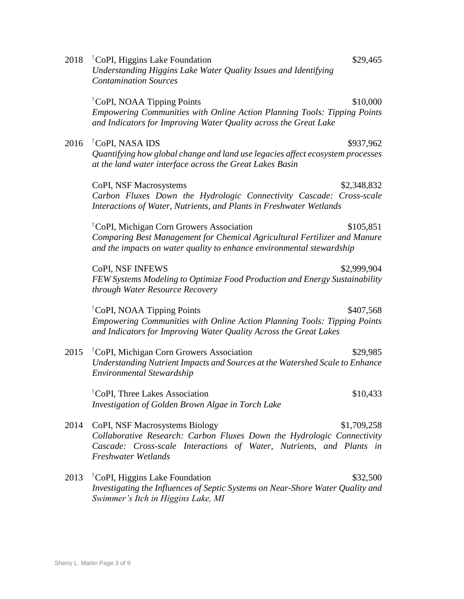| 2018 | CoPI, Higgins Lake Foundation<br>\$29,465<br>Understanding Higgins Lake Water Quality Issues and Identifying<br><b>Contamination Sources</b>                                                                                  |  |
|------|-------------------------------------------------------------------------------------------------------------------------------------------------------------------------------------------------------------------------------|--|
|      | <sup>1</sup> CoPI, NOAA Tipping Points<br>\$10,000<br>Empowering Communities with Online Action Planning Tools: Tipping Points<br>and Indicators for Improving Water Quality across the Great Lake                            |  |
| 2016 | Copi, NASA IDS<br>\$937,962<br>Quantifying how global change and land use legacies affect ecosystem processes<br>at the land water interface across the Great Lakes Basin                                                     |  |
|      | CoPI, NSF Macrosystems<br>\$2,348,832<br>Carbon Fluxes Down the Hydrologic Connectivity Cascade: Cross-scale<br>Interactions of Water, Nutrients, and Plants in Freshwater Wetlands                                           |  |
|      | <sup>1</sup> CoPI, Michigan Corn Growers Association<br>\$105,851<br>Comparing Best Management for Chemical Agricultural Fertilizer and Manure<br>and the impacts on water quality to enhance environmental stewardship       |  |
|      | CoPI, NSF INFEWS<br>\$2,999,904<br>FEW Systems Modeling to Optimize Food Production and Energy Sustainability<br>through Water Resource Recovery                                                                              |  |
|      | 'CoPI, NOAA Tipping Points<br>\$407,568<br>Empowering Communities with Online Action Planning Tools: Tipping Points<br>and Indicators for Improving Water Quality Across the Great Lakes                                      |  |
| 2015 | <sup>1</sup> CoPI, Michigan Corn Growers Association<br>\$29,985<br>Understanding Nutrient Impacts and Sources at the Watershed Scale to Enhance<br><b>Environmental Stewardship</b>                                          |  |
|      | <sup>1</sup> CoPI, Three Lakes Association<br>\$10,433<br>Investigation of Golden Brown Algae in Torch Lake                                                                                                                   |  |
| 2014 | CoPI, NSF Macrosystems Biology<br>\$1,709,258<br>Collaborative Research: Carbon Fluxes Down the Hydrologic Connectivity<br>Cascade: Cross-scale Interactions of Water, Nutrients, and Plants in<br><b>Freshwater Wetlands</b> |  |
| 2013 | <sup>1</sup> CoPI, Higgins Lake Foundation<br>\$32,500<br>Investigating the Influences of Septic Systems on Near-Shore Water Quality and<br>Swimmer's Itch in Higgins Lake, MI                                                |  |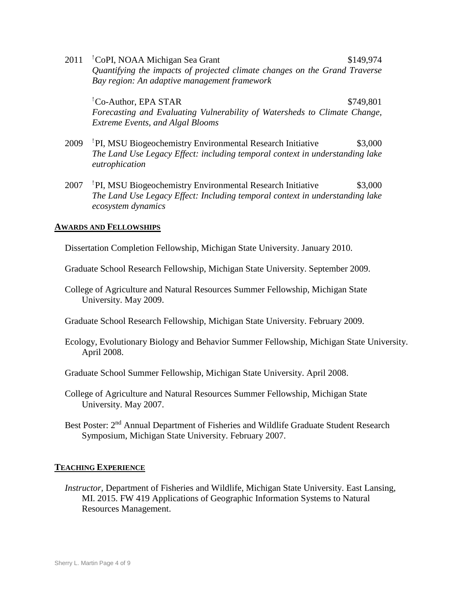2011 **CoPI, NOAA Michigan Sea Grant** \$149,974 *Quantifying the impacts of projected climate changes on the Grand Traverse Bay region: An adaptive management framework*

 ${}^{1}$ Co-Author, EPA STAR  ${}^{5}$   ${}^{5}$   ${}^{5}$   ${}^{5}$   ${}^{5}$   ${}^{5}$   ${}^{5}$   ${}^{5}$   ${}^{5}$   ${}^{5}$   ${}^{5}$   ${}^{5}$   ${}^{5}$   ${}^{5}$   ${}^{5}$   ${}^{5}$   ${}^{5}$   ${}^{5}$   ${}^{5}$   ${}^{5}$   ${}^{5}$   ${}^{5}$   ${}^{5}$   ${}^{5}$   ${}^{5}$   ${}^{5}$   ${}^{5}$   ${}^{5}$ *Forecasting and Evaluating Vulnerability of Watersheds to Climate Change, Extreme Events, and Algal Blooms*

- 2009 !PI, MSU Biogeochemistry Environmental Research Initiative \$3,000 *The Land Use Legacy Effect: including temporal context in understanding lake eutrophication*
- 2007 !PI, MSU Biogeochemistry Environmental Research Initiative \$3,000 *The Land Use Legacy Effect: Including temporal context in understanding lake ecosystem dynamics*

## **AWARDS AND FELLOWSHIPS**

Dissertation Completion Fellowship, Michigan State University. January 2010.

- Graduate School Research Fellowship, Michigan State University. September 2009.
- College of Agriculture and Natural Resources Summer Fellowship, Michigan State University. May 2009.
- Graduate School Research Fellowship, Michigan State University. February 2009.
- Ecology, Evolutionary Biology and Behavior Summer Fellowship, Michigan State University. April 2008.
- Graduate School Summer Fellowship, Michigan State University. April 2008.
- College of Agriculture and Natural Resources Summer Fellowship, Michigan State University. May 2007.
- Best Poster: 2<sup>nd</sup> Annual Department of Fisheries and Wildlife Graduate Student Research Symposium, Michigan State University. February 2007.

#### **TEACHING EXPERIENCE**

*Instructor,* Department of Fisheries and Wildlife, Michigan State University. East Lansing, MI. 2015. FW 419 Applications of Geographic Information Systems to Natural Resources Management.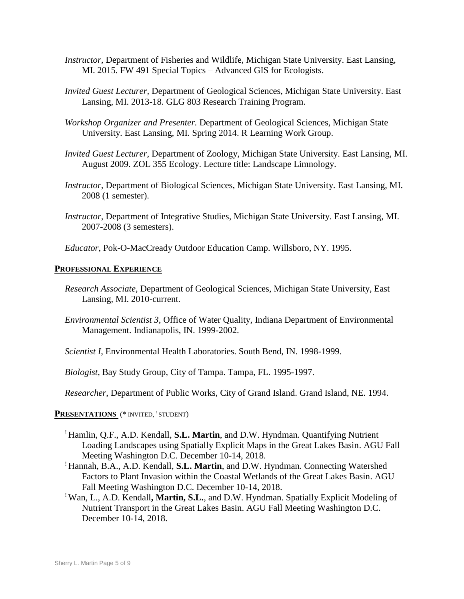- *Instructor,* Department of Fisheries and Wildlife, Michigan State University. East Lansing, MI. 2015. FW 491 Special Topics – Advanced GIS for Ecologists.
- *Invited Guest Lecturer,* Department of Geological Sciences, Michigan State University. East Lansing, MI. 2013-18. GLG 803 Research Training Program.
- *Workshop Organizer and Presenter.* Department of Geological Sciences, Michigan State University. East Lansing, MI. Spring 2014. R Learning Work Group.
- *Invited Guest Lecturer*, Department of Zoology, Michigan State University. East Lansing, MI. August 2009. ZOL 355 Ecology. Lecture title: Landscape Limnology.
- *Instructor*, Department of Biological Sciences, Michigan State University. East Lansing, MI. 2008 (1 semester).
- *Instructor*, Department of Integrative Studies, Michigan State University. East Lansing, MI. 2007-2008 (3 semesters).

*Educator*, Pok-O-MacCready Outdoor Education Camp. Willsboro, NY. 1995.

#### **PROFESSIONAL EXPERIENCE**

- *Research Associate*, Department of Geological Sciences, Michigan State University, East Lansing, MI. 2010-current.
- *Environmental Scientist 3*, Office of Water Quality, Indiana Department of Environmental Management. Indianapolis, IN. 1999-2002.

*Scientist I*, Environmental Health Laboratories. South Bend, IN. 1998-1999.

*Biologist*, Bay Study Group, City of Tampa. Tampa, FL. 1995-1997.

*Researcher*, Department of Public Works, City of Grand Island. Grand Island, NE. 1994.

### **PRESENTATIONS** (\* INVITED, ! STUDENT)

- ! Hamlin, Q.F., A.D. Kendall, **S.L. Martin**, and D.W. Hyndman. Quantifying Nutrient Loading Landscapes using Spatially Explicit Maps in the Great Lakes Basin. AGU Fall Meeting Washington D.C. December 10-14, 2018.
- ! Hannah, B.A., A.D. Kendall, **S.L. Martin**, and D.W. Hyndman. Connecting Watershed Factors to Plant Invasion within the Coastal Wetlands of the Great Lakes Basin. AGU Fall Meeting Washington D.C. December 10-14, 2018.
- ! Wan, L., A.D. Kendall**, Martin, S.L.**, and D.W. Hyndman. Spatially Explicit Modeling of Nutrient Transport in the Great Lakes Basin. AGU Fall Meeting Washington D.C. December 10-14, 2018.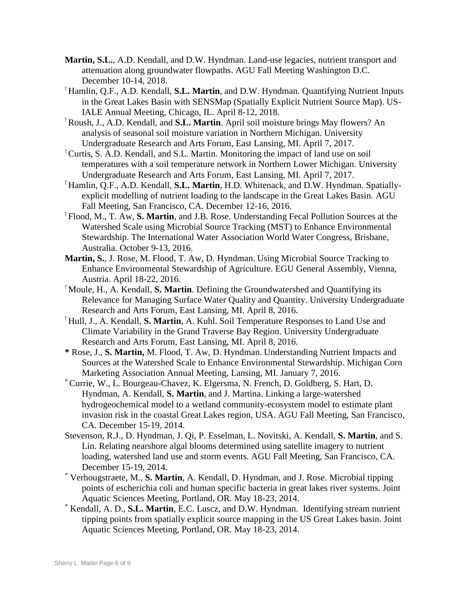- **Martin, S.L.**, A.D. Kendall, and D.W. Hyndman. Land-use legacies, nutrient transport and attenuation along groundwater flowpaths. AGU Fall Meeting Washington D.C. December 10-14, 2018.
- ! Hamlin, Q.F., A.D. Kendall, **S.L. Martin**, and D.W. Hyndman. Quantifying Nutrient Inputs in the Great Lakes Basin with SENSMap (Spatially Explicit Nutrient Source Map). US-IALE Annual Meeting, Chicago, IL. April 8-12, 2018.
- ! Roush, J., A.D. Kendall, and **S.L. Martin**. April soil moisture brings May flowers? An analysis of seasonal soil moisture variation in Northern Michigan. University Undergraduate Research and Arts Forum, East Lansing, MI. April 7, 2017.
- ! Curtis, S. A.D. Kendall, and S.L. Martin. Monitoring the impact of land use on soil temperatures with a soil temperature network in Northern Lower Michigan. University Undergraduate Research and Arts Forum, East Lansing, MI. April 7, 2017.
- ! Hamlin, Q.F., A.D. Kendall, **S.L. Martin**, H.D. Whitenack, and D.W. Hyndman. Spatiallyexplicit modelling of nutrient loading to the landscape in the Great Lakes Basin. AGU Fall Meeting, San Francisco, CA. December 12-16, 2016.
- ! Flood, M., T. Aw, **S. Martin**, and J.B. Rose. Understanding Fecal Pollution Sources at the Watershed Scale using Microbial Source Tracking (MST) to Enhance Environmental Stewardship. The International Water Association World Water Congress, Brisbane, Australia. October 9-13, 2016.
- **Martin, S.**, J. Rose, M. Flood, T. Aw, D. Hyndman. Using Microbial Source Tracking to Enhance Environmental Stewardship of Agriculture. EGU General Assembly, Vienna, Austria. April 18-22, 2016.
- ! Moule, H., A. Kendall, **S. Martin**. Defining the Groundwatershed and Quantifying its Relevance for Managing Surface Water Quality and Quantity. University Undergraduate Research and Arts Forum, East Lansing, MI. April 8, 2016.
- ! Hull, J., A. Kendall, **S. Martin**, A. Kuhl. Soil Temperature Responses to Land Use and Climate Variability in the Grand Traverse Bay Region. University Undergraduate Research and Arts Forum, East Lansing, MI. April 8, 2016.
- **\*** Rose, J., **S. Martin,** M. Flood, T. Aw, D. Hyndman. Understanding Nutrient Impacts and Sources at the Watershed Scale to Enhance Environmental Stewardship. Michigan Corn Marketing Association Annual Meeting, Lansing, MI. January 7, 2016.
- \*Currie, W., L. Bourgeau-Chavez, K. Elgersma, N. French, D. Goldberg, S. Hart, D. Hyndman, A. Kendall, **S. Martin**, and J. Martina. Linking a large-watershed hydrogeochemical model to a wetland community-ecosystem model to estimate plant invasion risk in the coastal Great Lakes region, USA. AGU Fall Meeting, San Francisco, CA. December 15-19, 2014.
- Stevenson, R.J., D. Hyndman, J. Qi, P. Esselman, L. Novitski, A. Kendall, **S. Martin**, and S. Lin. Relating nearshore algal blooms determined using satellite imagery to nutrient loading, watershed land use and storm events. AGU Fall Meeting, San Francisco, CA. December 15-19, 2014.
- \* Verhougstraete, M., **S. Martin**, A. Kendall, D. Hyndman, and J. Rose. Microbial tipping points of escherichia coli and human specific bacteria in great lakes river systems. Joint Aquatic Sciences Meeting, Portland, OR. May 18-23, 2014.
- \* Kendall, A. D., **S.L. Martin**, E.C. Luscz, and D.W. Hyndman. Identifying stream nutrient tipping points from spatially explicit source mapping in the US Great Lakes basin. Joint Aquatic Sciences Meeting, Portland, OR. May 18-23, 2014.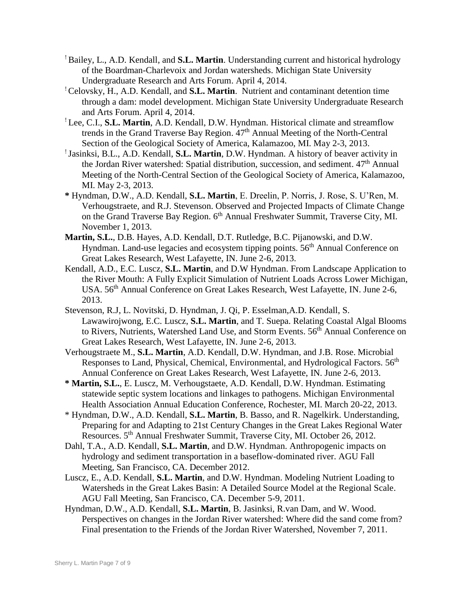- ! Bailey, L., A.D. Kendall, and **S.L. Martin**. Understanding current and historical hydrology of the Boardman-Charlevoix and Jordan watersheds. Michigan State University Undergraduate Research and Arts Forum. April 4, 2014.
- ! Celovsky, H., A.D. Kendall, and **S.L. Martin**. Nutrient and contaminant detention time through a dam: model development. Michigan State University Undergraduate Research and Arts Forum. April 4, 2014.
- ! Lee, C.I., **S.L. Martin**, A.D. Kendall, D.W. Hyndman. Historical climate and streamflow trends in the Grand Traverse Bay Region.  $47<sup>th</sup>$  Annual Meeting of the North-Central Section of the Geological Society of America, Kalamazoo, MI. May 2-3, 2013.
- ! Jasinksi, B.L., A.D. Kendall, **S.L. Martin**, D.W. Hyndman. A history of beaver activity in the Jordan River watershed: Spatial distribution, succession, and sediment. 47<sup>th</sup> Annual Meeting of the North-Central Section of the Geological Society of America, Kalamazoo, MI. May 2-3, 2013.
- **\*** Hyndman, D.W., A.D. Kendall, **S.L. Martin**, E. Dreelin, P. Norris, J. Rose, S. U'Ren, M. Verhougstraete, and R.J. Stevenson. Observed and Projected Impacts of Climate Change on the Grand Traverse Bay Region. 6<sup>th</sup> Annual Freshwater Summit, Traverse City, MI. November 1, 2013.
- **Martin, S.L.**, D.B. Hayes, A.D. Kendall, D.T. Rutledge, B.C. Pijanowski, and D.W. Hyndman. Land-use legacies and ecosystem tipping points. 56<sup>th</sup> Annual Conference on Great Lakes Research, West Lafayette, IN. June 2-6, 2013.
- Kendall, A.D., E.C. Luscz, **S.L. Martin**, and D.W Hyndman. From Landscape Application to the River Mouth: A Fully Explicit Simulation of Nutrient Loads Across Lower Michigan, USA. 56<sup>th</sup> Annual Conference on Great Lakes Research, West Lafayette, IN. June 2-6, 2013.
- Stevenson, R.J, L. Novitski, D. Hyndman, J. Qi, P. Esselman,A.D. Kendall, S. Lawawirojwong, E.C. Luscz, **S.L. Martin**, and T. Suepa. Relating Coastal Algal Blooms to Rivers, Nutrients, Watershed Land Use, and Storm Events. 56<sup>th</sup> Annual Conference on Great Lakes Research, West Lafayette, IN. June 2-6, 2013.
- Verhougstraete M., **S.L. Martin**, A.D. Kendall, D.W. Hyndman, and J.B. Rose. Microbial Responses to Land, Physical, Chemical, Environmental, and Hydrological Factors. 56<sup>th</sup> Annual Conference on Great Lakes Research, West Lafayette, IN. June 2-6, 2013.
- **\* Martin, S.L.**, E. Luscz, M. Verhougstaete, A.D. Kendall, D.W. Hyndman. Estimating statewide septic system locations and linkages to pathogens. Michigan Environmental Health Association Annual Education Conference, Rochester, MI. March 20-22, 2013.
- \* Hyndman, D.W., A.D. Kendall, **S.L. Martin**, B. Basso, and R. Nagelkirk. Understanding, Preparing for and Adapting to 21st Century Changes in the Great Lakes Regional Water Resources. 5th Annual Freshwater Summit, Traverse City, MI. October 26, 2012.
- Dahl, T.A., A.D. Kendall, **S.L. Martin**, and D.W. Hyndman. Anthropogenic impacts on hydrology and sediment transportation in a baseflow-dominated river. AGU Fall Meeting, San Francisco, CA. December 2012.
- Luscz, E., A.D. Kendall, **S.L. Martin**, and D.W. Hyndman. Modeling Nutrient Loading to Watersheds in the Great Lakes Basin: A Detailed Source Model at the Regional Scale. AGU Fall Meeting, San Francisco, CA. December 5-9, 2011.
- Hyndman, D.W., A.D. Kendall, **S.L. Martin**, B. Jasinksi, R.van Dam, and W. Wood. Perspectives on changes in the Jordan River watershed: Where did the sand come from? Final presentation to the Friends of the Jordan River Watershed, November 7, 2011.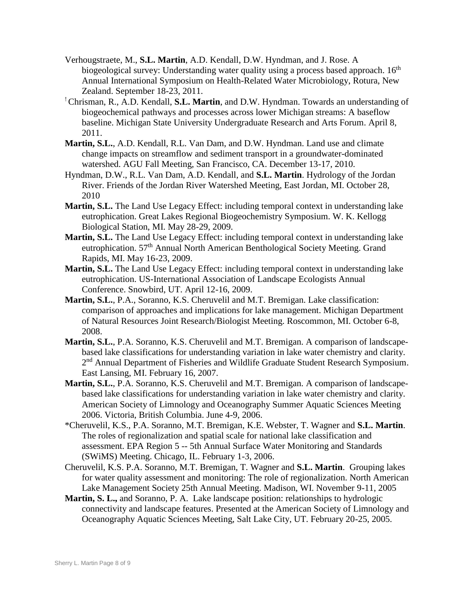- Verhougstraete, M., **S.L. Martin**, A.D. Kendall, D.W. Hyndman, and J. Rose. A biogeological survey: Understanding water quality using a process based approach. 16<sup>th</sup> Annual International Symposium on Health-Related Water Microbiology, Rotura, New Zealand. September 18-23, 2011.
- !Chrisman, R., A.D. Kendall, **S.L. Martin**, and D.W. Hyndman. Towards an understanding of biogeochemical pathways and processes across lower Michigan streams: A baseflow baseline. Michigan State University Undergraduate Research and Arts Forum. April 8, 2011.
- **Martin, S.L.**, A.D. Kendall, R.L. Van Dam, and D.W. Hyndman. Land use and climate change impacts on streamflow and sediment transport in a groundwater-dominated watershed. AGU Fall Meeting, San Francisco, CA. December 13-17, 2010.
- Hyndman, D.W., R.L. Van Dam, A.D. Kendall, and **S.L. Martin**. Hydrology of the Jordan River. Friends of the Jordan River Watershed Meeting, East Jordan, MI. October 28, 2010
- **Martin, S.L.** The Land Use Legacy Effect: including temporal context in understanding lake eutrophication. Great Lakes Regional Biogeochemistry Symposium. W. K. Kellogg Biological Station, MI. May 28-29, 2009.
- **Martin, S.L.** The Land Use Legacy Effect: including temporal context in understanding lake eutrophication. 57th Annual North American Benthological Society Meeting. Grand Rapids, MI. May 16-23, 2009.
- **Martin, S.L.** The Land Use Legacy Effect: including temporal context in understanding lake eutrophication. US-International Association of Landscape Ecologists Annual Conference. Snowbird, UT. April 12-16, 2009.
- **Martin, S.L.**, P.A., Soranno, K.S. Cheruvelil and M.T. Bremigan. Lake classification: comparison of approaches and implications for lake management. Michigan Department of Natural Resources Joint Research/Biologist Meeting. Roscommon, MI. October 6-8, 2008.
- **Martin, S.L.**, P.A. Soranno, K.S. Cheruvelil and M.T. Bremigan. A comparison of landscapebased lake classifications for understanding variation in lake water chemistry and clarity. 2<sup>nd</sup> Annual Department of Fisheries and Wildlife Graduate Student Research Symposium. East Lansing, MI. February 16, 2007.
- **Martin, S.L.**, P.A. Soranno, K.S. Cheruvelil and M.T. Bremigan. A comparison of landscapebased lake classifications for understanding variation in lake water chemistry and clarity. American Society of Limnology and Oceanography Summer Aquatic Sciences Meeting 2006. Victoria, British Columbia. June 4-9, 2006.
- \*Cheruvelil, K.S., P.A. Soranno, M.T. Bremigan, K.E. Webster, T. Wagner and **S.L. Martin**. The roles of regionalization and spatial scale for national lake classification and assessment. EPA Region 5 -- 5th Annual Surface Water Monitoring and Standards (SWiMS) Meeting. Chicago, IL. February 1-3, 2006.
- Cheruvelil, K.S. P.A. Soranno, M.T. Bremigan, T. Wagner and **S.L. Martin**. Grouping lakes for water quality assessment and monitoring: The role of regionalization. North American Lake Management Society 25th Annual Meeting. Madison, WI. November 9-11, 2005
- **Martin, S. L.,** and Soranno, P. A. Lake landscape position: relationships to hydrologic connectivity and landscape features. Presented at the American Society of Limnology and Oceanography Aquatic Sciences Meeting, Salt Lake City, UT. February 20-25, 2005.